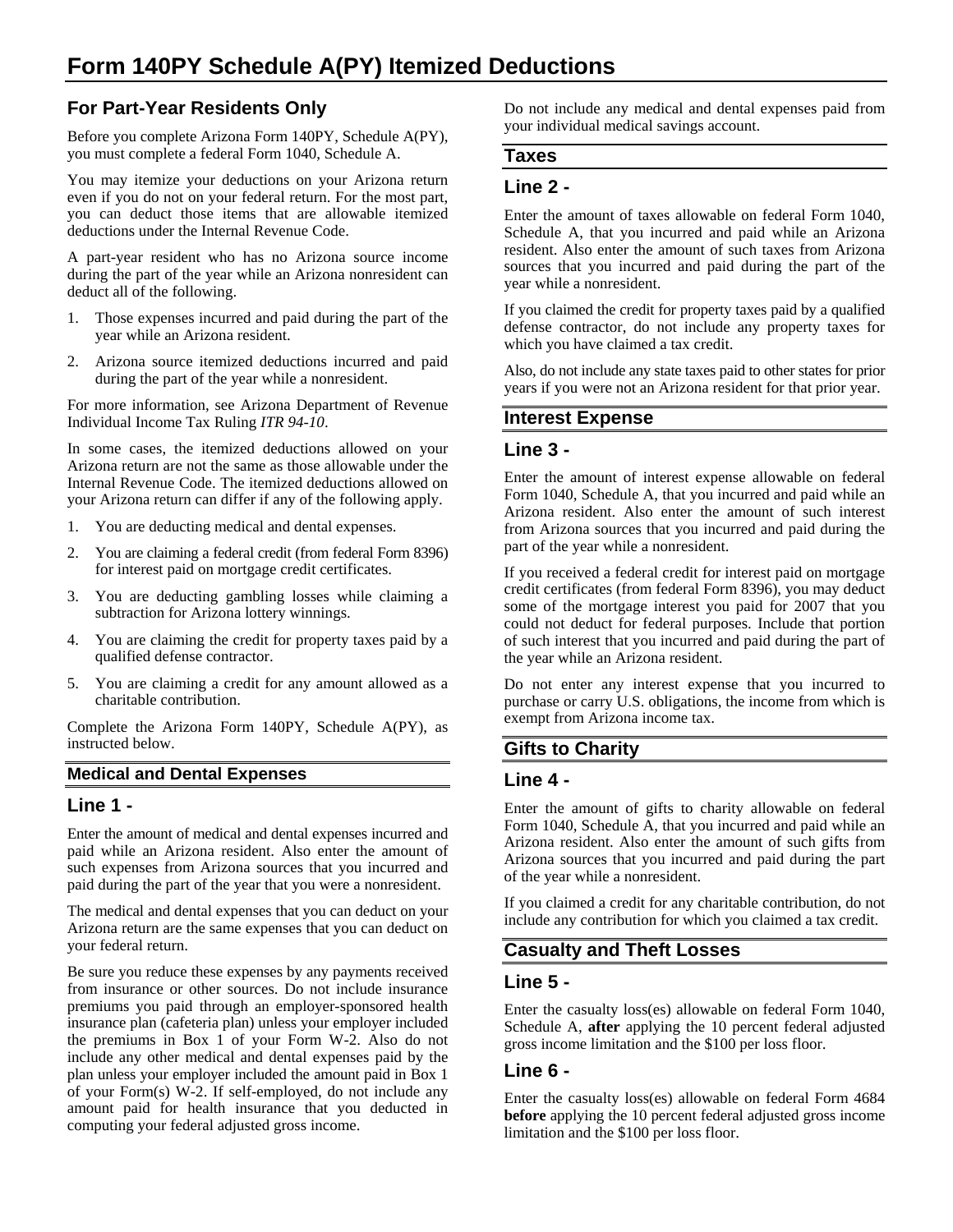# **Form 140PY Schedule A(PY) Itemized Deductions**

# **For Part-Year Residents Only**

Before you complete Arizona Form 140PY, Schedule A(PY), you must complete a federal Form 1040, Schedule A.

You may itemize your deductions on your Arizona return even if you do not on your federal return. For the most part, you can deduct those items that are allowable itemized deductions under the Internal Revenue Code.

A part-year resident who has no Arizona source income during the part of the year while an Arizona nonresident can deduct all of the following.

- 1. Those expenses incurred and paid during the part of the year while an Arizona resident.
- 2. Arizona source itemized deductions incurred and paid during the part of the year while a nonresident.

For more information, see Arizona Department of Revenue Individual Income Tax Ruling *ITR 94-10*.

In some cases, the itemized deductions allowed on your Arizona return are not the same as those allowable under the Internal Revenue Code. The itemized deductions allowed on your Arizona return can differ if any of the following apply.

- 1. You are deducting medical and dental expenses.
- 2. You are claiming a federal credit (from federal Form 8396) for interest paid on mortgage credit certificates.
- 3. You are deducting gambling losses while claiming a subtraction for Arizona lottery winnings.
- 4. You are claiming the credit for property taxes paid by a qualified defense contractor.
- 5. You are claiming a credit for any amount allowed as a charitable contribution.

Complete the Arizona Form 140PY, Schedule A(PY), as instructed below.

#### **Medical and Dental Expenses**

#### **Line 1 -**

Enter the amount of medical and dental expenses incurred and paid while an Arizona resident. Also enter the amount of such expenses from Arizona sources that you incurred and paid during the part of the year that you were a nonresident.

The medical and dental expenses that you can deduct on your Arizona return are the same expenses that you can deduct on your federal return.

Be sure you reduce these expenses by any payments received from insurance or other sources. Do not include insurance premiums you paid through an employer-sponsored health insurance plan (cafeteria plan) unless your employer included the premiums in Box 1 of your Form W-2. Also do not include any other medical and dental expenses paid by the plan unless your employer included the amount paid in Box 1 of your Form(s) W-2. If self-employed, do not include any amount paid for health insurance that you deducted in computing your federal adjusted gross income.

Do not include any medical and dental expenses paid from your individual medical savings account.

#### **Taxes**

#### **Line 2 -**

Enter the amount of taxes allowable on federal Form 1040, Schedule A, that you incurred and paid while an Arizona resident. Also enter the amount of such taxes from Arizona sources that you incurred and paid during the part of the year while a nonresident.

If you claimed the credit for property taxes paid by a qualified defense contractor, do not include any property taxes for which you have claimed a tax credit.

Also, do not include any state taxes paid to other states for prior years if you were not an Arizona resident for that prior year.

#### **Interest Expense**

#### **Line 3 -**

Enter the amount of interest expense allowable on federal Form 1040, Schedule A, that you incurred and paid while an Arizona resident. Also enter the amount of such interest from Arizona sources that you incurred and paid during the part of the year while a nonresident.

If you received a federal credit for interest paid on mortgage credit certificates (from federal Form 8396), you may deduct some of the mortgage interest you paid for 2007 that you could not deduct for federal purposes. Include that portion of such interest that you incurred and paid during the part of the year while an Arizona resident.

Do not enter any interest expense that you incurred to purchase or carry U.S. obligations, the income from which is exempt from Arizona income tax.

# **Gifts to Charity**

# **Line 4 -**

Enter the amount of gifts to charity allowable on federal Form 1040, Schedule A, that you incurred and paid while an Arizona resident. Also enter the amount of such gifts from Arizona sources that you incurred and paid during the part of the year while a nonresident.

If you claimed a credit for any charitable contribution, do not include any contribution for which you claimed a tax credit.

# **Casualty and Theft Losses**

# **Line 5 -**

Enter the casualty loss(es) allowable on federal Form 1040, Schedule A, **after** applying the 10 percent federal adjusted gross income limitation and the \$100 per loss floor.

# **Line 6 -**

Enter the casualty loss(es) allowable on federal Form 4684 **before** applying the 10 percent federal adjusted gross income limitation and the \$100 per loss floor.